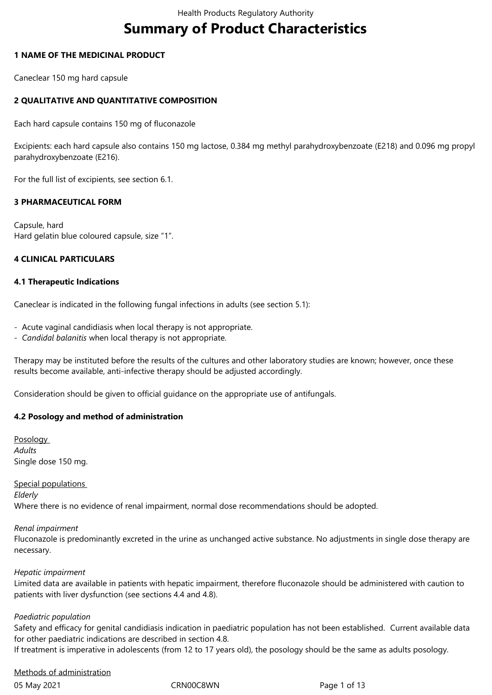# **Summary of Product Characteristics**

# **1 NAME OF THE MEDICINAL PRODUCT**

Caneclear 150 mg hard capsule

# **2 QUALITATIVE AND QUANTITATIVE COMPOSITION**

Each hard capsule contains 150 mg of fluconazole

Excipients: each hard capsule also contains 150 mg lactose, 0.384 mg methyl parahydroxybenzoate (E218) and 0.096 mg propyl parahydroxybenzoate (E216).

For the full list of excipients, see section 6.1.

#### **3 PHARMACEUTICAL FORM**

Capsule, hard Hard gelatin blue coloured capsule, size "1".

#### **4 CLINICAL PARTICULARS**

#### **4.1 Therapeutic Indications**

Caneclear is indicated in the following fungal infections in adults (see section 5.1):

- Acute vaginal candidiasis when local therapy is not appropriate.
- *Candidal balanitis* when local therapy is not appropriate*.*

Therapy may be instituted before the results of the cultures and other laboratory studies are known; however, once these results become available, anti-infective therapy should be adjusted accordingly.

Consideration should be given to official guidance on the appropriate use of antifungals.

#### **4.2 Posology and method of administration**

Posology *Adults*  Single dose 150 mg.

#### Special populations

*Elderly* 

Where there is no evidence of renal impairment, normal dose recommendations should be adopted.

#### *Renal impairment*

Fluconazole is predominantly excreted in the urine as unchanged active substance. No adjustments in single dose therapy are necessary.

#### *Hepatic impairment*

Limited data are available in patients with hepatic impairment, therefore fluconazole should be administered with caution to patients with liver dysfunction (see sections 4.4 and 4.8).

#### *Paediatric population*

Safety and efficacy for genital candidiasis indication in paediatric population has not been established. Current available data for other paediatric indications are described in section 4.8.

If treatment is imperative in adolescents (from 12 to 17 years old), the posology should be the same as adults posology.

# Methods of administration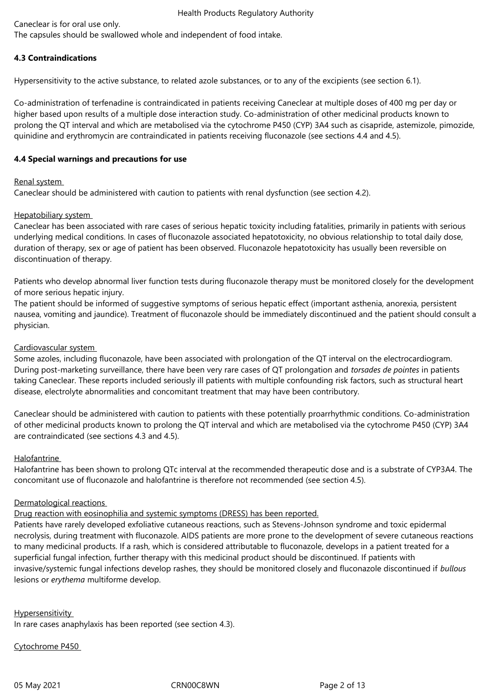Caneclear is for oral use only.

The capsules should be swallowed whole and independent of food intake.

# **4.3 Contraindications**

Hypersensitivity to the active substance, to related azole substances, or to any of the excipients (see section 6.1).

Co-administration of terfenadine is contraindicated in patients receiving Caneclear at multiple doses of 400 mg per day or higher based upon results of a multiple dose interaction study. Co-administration of other medicinal products known to prolong the QT interval and which are metabolised via the cytochrome P450 (CYP) 3A4 such as cisapride, astemizole, pimozide, quinidine and erythromycin are contraindicated in patients receiving fluconazole (see sections 4.4 and 4.5).

# **4.4 Special warnings and precautions for use**

# Renal system

Caneclear should be administered with caution to patients with renal dysfunction (see section 4.2).

# Hepatobiliary system

Caneclear has been associated with rare cases of serious hepatic toxicity including fatalities, primarily in patients with serious underlying medical conditions. In cases of fluconazole associated hepatotoxicity, no obvious relationship to total daily dose, duration of therapy, sex or age of patient has been observed. Fluconazole hepatotoxicity has usually been reversible on discontinuation of therapy.

Patients who develop abnormal liver function tests during fluconazole therapy must be monitored closely for the development of more serious hepatic injury.

The patient should be informed of suggestive symptoms of serious hepatic effect (important asthenia, anorexia, persistent nausea, vomiting and jaundice). Treatment of fluconazole should be immediately discontinued and the patient should consult a physician.

# Cardiovascular system

Some azoles, including fluconazole, have been associated with prolongation of the QT interval on the electrocardiogram. During post-marketing surveillance, there have been very rare cases of QT prolongation and *torsades de pointes* in patients taking Caneclear. These reports included seriously ill patients with multiple confounding risk factors, such as structural heart disease, electrolyte abnormalities and concomitant treatment that may have been contributory.

Caneclear should be administered with caution to patients with these potentially proarrhythmic conditions. Co-administration of other medicinal products known to prolong the QT interval and which are metabolised via the cytochrome P450 (CYP) 3A4 are contraindicated (see sections 4.3 and 4.5).

# Halofantrine

Halofantrine has been shown to prolong QTc interval at the recommended therapeutic dose and is a substrate of CYP3A4. The concomitant use of fluconazole and halofantrine is therefore not recommended (see section 4.5).

# Dermatological reactions

Drug reaction with eosinophilia and systemic symptoms (DRESS) has been reported.

Patients have rarely developed exfoliative cutaneous reactions, such as Stevens-Johnson syndrome and toxic epidermal necrolysis, during treatment with fluconazole. AIDS patients are more prone to the development of severe cutaneous reactions to many medicinal products. If a rash, which is considered attributable to fluconazole, develops in a patient treated for a superficial fungal infection, further therapy with this medicinal product should be discontinued. If patients with invasive/systemic fungal infections develop rashes, they should be monitored closely and fluconazole discontinued if *bullous*  lesions or *erythema* multiforme develop.

# **Hypersensitivity**

In rare cases anaphylaxis has been reported (see section 4.3).

# Cytochrome P450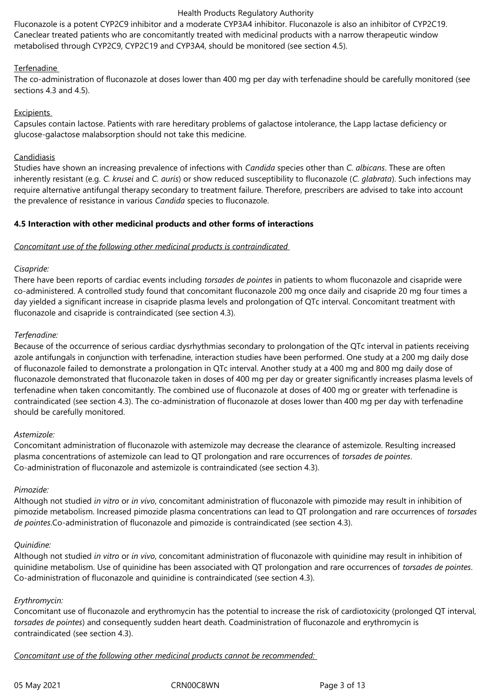Fluconazole is a potent CYP2C9 inhibitor and a moderate CYP3A4 inhibitor. Fluconazole is also an inhibitor of CYP2C19. Caneclear treated patients who are concomitantly treated with medicinal products with a narrow therapeutic window metabolised through CYP2C9, CYP2C19 and CYP3A4, should be monitored (see section 4.5).

# Terfenadine

The co-administration of fluconazole at doses lower than 400 mg per day with terfenadine should be carefully monitored (see sections 4.3 and 4.5).

### **Excipients**

Capsules contain lactose. Patients with rare hereditary problems of galactose intolerance, the Lapp lactase deficiency or glucose-galactose malabsorption should not take this medicine.

# **Candidiasis**

Studies have shown an increasing prevalence of infections with *Candida* species other than *C. albicans*. These are often inherently resistant (e.g. *C. krusei* and *C. auris*) or show reduced susceptibility to fluconazole (*C. glabrata*). Such infections may require alternative antifungal therapy secondary to treatment failure. Therefore, prescribers are advised to take into account the prevalence of resistance in various *Candida* species to fluconazole.

# **4.5 Interaction with other medicinal products and other forms of interactions**

#### *Concomitant use of the following other medicinal products is contraindicated*

# *Cisapride:*

There have been reports of cardiac events including *torsades de pointes* in patients to whom fluconazole and cisapride were co-administered. A controlled study found that concomitant fluconazole 200 mg once daily and cisapride 20 mg four times a day yielded a significant increase in cisapride plasma levels and prolongation of QTc interval. Concomitant treatment with fluconazole and cisapride is contraindicated (see section 4.3).

# *Terfenadine:*

Because of the occurrence of serious cardiac dysrhythmias secondary to prolongation of the QTc interval in patients receiving azole antifungals in conjunction with terfenadine, interaction studies have been performed. One study at a 200 mg daily dose of fluconazole failed to demonstrate a prolongation in QTc interval. Another study at a 400 mg and 800 mg daily dose of fluconazole demonstrated that fluconazole taken in doses of 400 mg per day or greater significantly increases plasma levels of terfenadine when taken concomitantly. The combined use of fluconazole at doses of 400 mg or greater with terfenadine is contraindicated (see section 4.3). The co-administration of fluconazole at doses lower than 400 mg per day with terfenadine should be carefully monitored.

#### *Astemizole:*

Concomitant administration of fluconazole with astemizole may decrease the clearance of astemizole. Resulting increased plasma concentrations of astemizole can lead to QT prolongation and rare occurrences of *torsades de pointes*. Co-administration of fluconazole and astemizole is contraindicated (see section 4.3).

#### *Pimozide:*

Although not studied *in vitro* or *in vivo*, concomitant administration of fluconazole with pimozide may result in inhibition of pimozide metabolism. Increased pimozide plasma concentrations can lead to QT prolongation and rare occurrences of *torsades de pointes*.Co-administration of fluconazole and pimozide is contraindicated (see section 4.3).

#### *Quinidine:*

Although not studied *in vitro* or *in vivo*, concomitant administration of fluconazole with quinidine may result in inhibition of quinidine metabolism. Use of quinidine has been associated with QT prolongation and rare occurrences of *torsades de pointes*. Co-administration of fluconazole and quinidine is contraindicated (see section 4.3).

#### *Erythromycin:*

Concomitant use of fluconazole and erythromycin has the potential to increase the risk of cardiotoxicity (prolonged QT interval, *torsades de pointes*) and consequently sudden heart death. Coadministration of fluconazole and erythromycin is contraindicated (see section 4.3).

*Concomitant use of the following other medicinal products cannot be recommended:*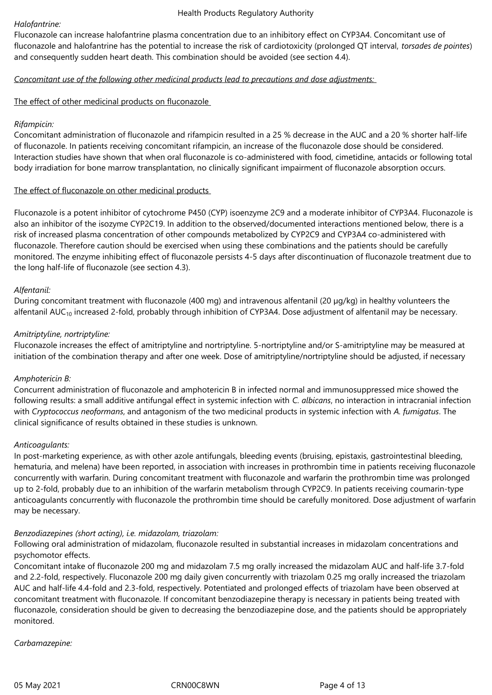#### *Halofantrine:*

Fluconazole can increase halofantrine plasma concentration due to an inhibitory effect on CYP3A4. Concomitant use of fluconazole and halofantrine has the potential to increase the risk of cardiotoxicity (prolonged QT interval, *torsades de pointes*) and consequently sudden heart death. This combination should be avoided (see section 4.4).

# *Concomitant use of the following other medicinal products lead to precautions and dose adjustments:*

# The effect of other medicinal products on fluconazole

# *Rifampicin:*

Concomitant administration of fluconazole and rifampicin resulted in a 25 % decrease in the AUC and a 20 % shorter half-life of fluconazole. In patients receiving concomitant rifampicin, an increase of the fluconazole dose should be considered. Interaction studies have shown that when oral fluconazole is co-administered with food, cimetidine, antacids or following total body irradiation for bone marrow transplantation, no clinically significant impairment of fluconazole absorption occurs.

# The effect of fluconazole on other medicinal products

Fluconazole is a potent inhibitor of cytochrome P450 (CYP) isoenzyme 2C9 and a moderate inhibitor of CYP3A4. Fluconazole is also an inhibitor of the isozyme CYP2C19. In addition to the observed/documented interactions mentioned below, there is a risk of increased plasma concentration of other compounds metabolized by CYP2C9 and CYP3A4 co-administered with fluconazole. Therefore caution should be exercised when using these combinations and the patients should be carefully monitored. The enzyme inhibiting effect of fluconazole persists 4‑5 days after discontinuation of fluconazole treatment due to the long half-life of fluconazole (see section 4.3).

# *Alfentanil:*

During concomitant treatment with fluconazole (400 mg) and intravenous alfentanil (20 µg/kg) in healthy volunteers the alfentanil  $AUC_{10}$  increased 2-fold, probably through inhibition of CYP3A4. Dose adjustment of alfentanil may be necessary.

# *Amitriptyline, nortriptyline:*

Fluconazole increases the effect of amitriptyline and nortriptyline. 5‑nortriptyline and/or S‑amitriptyline may be measured at initiation of the combination therapy and after one week. Dose of amitriptyline/nortriptyline should be adjusted, if necessary

#### *Amphotericin B:*

Concurrent administration of fluconazole and amphotericin B in infected normal and immunosuppressed mice showed the following results: a small additive antifungal effect in systemic infection with *C. albicans*, no interaction in intracranial infection with *Cryptococcus neoformans*, and antagonism of the two medicinal products in systemic infection with *A. fumigatus*. The clinical significance of results obtained in these studies is unknown.

#### *Anticoagulants:*

In post-marketing experience, as with other azole antifungals, bleeding events (bruising, epistaxis, gastrointestinal bleeding, hematuria, and melena) have been reported, in association with increases in prothrombin time in patients receiving fluconazole concurrently with warfarin. During concomitant treatment with fluconazole and warfarin the prothrombin time was prolonged up to 2‑fold, probably due to an inhibition of the warfarin metabolism through CYP2C9. In patients receiving coumarin-type anticoagulants concurrently with fluconazole the prothrombin time should be carefully monitored. Dose adjustment of warfarin may be necessary.

#### *Benzodiazepines (short acting), i.e. midazolam, triazolam:*

Following oral administration of midazolam, fluconazole resulted in substantial increases in midazolam concentrations and psychomotor effects.

Concomitant intake of fluconazole 200 mg and midazolam 7.5 mg orally increased the midazolam AUC and half-life 3.7‑fold and 2.2‑fold, respectively. Fluconazole 200 mg daily given concurrently with triazolam 0.25 mg orally increased the triazolam AUC and half-life 4.4‑fold and 2.3‑fold, respectively. Potentiated and prolonged effects of triazolam have been observed at concomitant treatment with fluconazole. If concomitant benzodiazepine therapy is necessary in patients being treated with fluconazole, consideration should be given to decreasing the benzodiazepine dose, and the patients should be appropriately monitored.

*Carbamazepine:*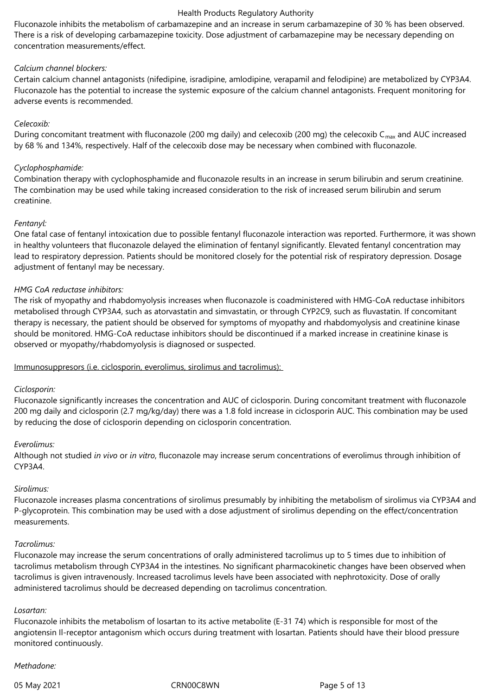Fluconazole inhibits the metabolism of carbamazepine and an increase in serum carbamazepine of 30 % has been observed. There is a risk of developing carbamazepine toxicity. Dose adjustment of carbamazepine may be necessary depending on concentration measurements/effect.

# *Calcium channel blockers:*

Certain calcium channel antagonists (nifedipine, isradipine, amlodipine, verapamil and felodipine) are metabolized by CYP3A4. Fluconazole has the potential to increase the systemic exposure of the calcium channel antagonists. Frequent monitoring for adverse events is recommended.

# *Celecoxib:*

During concomitant treatment with fluconazole (200 mg daily) and celecoxib (200 mg) the celecoxib  $C_{\text{max}}$  and AUC increased by 68 % and 134%, respectively. Half of the celecoxib dose may be necessary when combined with fluconazole.

# *Cyclophosphamide:*

Combination therapy with cyclophosphamide and fluconazole results in an increase in serum bilirubin and serum creatinine. The combination may be used while taking increased consideration to the risk of increased serum bilirubin and serum creatinine.

# *Fentanyl:*

One fatal case of fentanyl intoxication due to possible fentanyl fluconazole interaction was reported. Furthermore, it was shown in healthy volunteers that fluconazole delayed the elimination of fentanyl significantly. Elevated fentanyl concentration may lead to respiratory depression. Patients should be monitored closely for the potential risk of respiratory depression. Dosage adjustment of fentanyl may be necessary.

# *HMG CoA reductase inhibitors:*

The risk of myopathy and rhabdomyolysis increases when fluconazole is coadministered with HMG-CoA reductase inhibitors metabolised through CYP3A4, such as atorvastatin and simvastatin, or through CYP2C9, such as fluvastatin. If concomitant therapy is necessary, the patient should be observed for symptoms of myopathy and rhabdomyolysis and creatinine kinase should be monitored. HMG-CoA reductase inhibitors should be discontinued if a marked increase in creatinine kinase is observed or myopathy/rhabdomyolysis is diagnosed or suspected.

#### Immunosuppresors (i.e. ciclosporin, everolimus, sirolimus and tacrolimus):

#### *Ciclosporin:*

Fluconazole significantly increases the concentration and AUC of ciclosporin. During concomitant treatment with fluconazole 200 mg daily and ciclosporin (2.7 mg/kg/day) there was a 1.8 fold increase in ciclosporin AUC. This combination may be used by reducing the dose of ciclosporin depending on ciclosporin concentration.

#### *Everolimus:*

Although not studied *in vivo* or *in vitro*, fluconazole may increase serum concentrations of everolimus through inhibition of CYP3A4.

#### *Sirolimus:*

Fluconazole increases plasma concentrations of sirolimus presumably by inhibiting the metabolism of sirolimus via CYP3A4 and P-glycoprotein. This combination may be used with a dose adjustment of sirolimus depending on the effect/concentration measurements.

#### *Tacrolimus:*

Fluconazole may increase the serum concentrations of orally administered tacrolimus up to 5 times due to inhibition of tacrolimus metabolism through CYP3A4 in the intestines. No significant pharmacokinetic changes have been observed when tacrolimus is given intravenously. Increased tacrolimus levels have been associated with nephrotoxicity. Dose of orally administered tacrolimus should be decreased depending on tacrolimus concentration.

#### *Losartan:*

Fluconazole inhibits the metabolism of losartan to its active metabolite (E-31 74) which is responsible for most of the angiotensin Il-receptor antagonism which occurs during treatment with losartan. Patients should have their blood pressure monitored continuously.

### *Methadone:*

05 May 2021 **CRN00C8WN** CRN00C8WN Page 5 of 13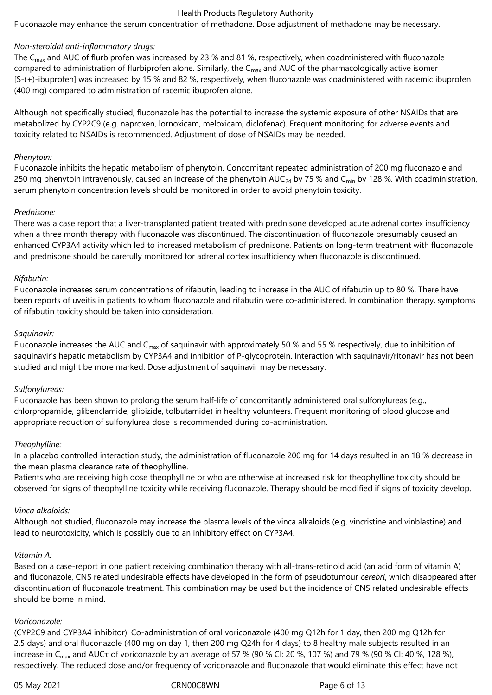Fluconazole may enhance the serum concentration of methadone. Dose adjustment of methadone may be necessary.

#### *Non-steroidal anti-inflammatory drugs:*

The C<sub>max</sub> and AUC of flurbiprofen was increased by 23 % and 81 %, respectively, when coadministered with fluconazole compared to administration of flurbiprofen alone. Similarly, the  $C_{\text{max}}$  and AUC of the pharmacologically active isomer [S-(+)-ibuprofen] was increased by 15 % and 82 %, respectively, when fluconazole was coadministered with racemic ibuprofen (400 mg) compared to administration of racemic ibuprofen alone.

Although not specifically studied, fluconazole has the potential to increase the systemic exposure of other NSAIDs that are metabolized by CYP2C9 (e.g. naproxen, lornoxicam, meloxicam, diclofenac). Frequent monitoring for adverse events and toxicity related to NSAIDs is recommended. Adjustment of dose of NSAIDs may be needed.

#### *Phenytoin:*

Fluconazole inhibits the hepatic metabolism of phenytoin. Concomitant repeated administration of 200 mg fluconazole and 250 mg phenytoin intravenously, caused an increase of the phenytoin  $AUC_{24}$  by 75 % and C<sub>min</sub> by 128 %. With coadministration, serum phenytoin concentration levels should be monitored in order to avoid phenytoin toxicity.

#### *Prednisone:*

There was a case report that a liver-transplanted patient treated with prednisone developed acute adrenal cortex insufficiency when a three month therapy with fluconazole was discontinued. The discontinuation of fluconazole presumably caused an enhanced CYP3A4 activity which led to increased metabolism of prednisone. Patients on long-term treatment with fluconazole and prednisone should be carefully monitored for adrenal cortex insufficiency when fluconazole is discontinued.

#### *Rifabutin:*

Fluconazole increases serum concentrations of rifabutin, leading to increase in the AUC of rifabutin up to 80 %. There have been reports of uveitis in patients to whom fluconazole and rifabutin were co-administered. In combination therapy, symptoms of rifabutin toxicity should be taken into consideration.

#### *Saquinavir:*

Fluconazole increases the AUC and C<sub>max</sub> of saquinavir with approximately 50 % and 55 % respectively, due to inhibition of saquinavir's hepatic metabolism by CYP3A4 and inhibition of P-glycoprotein. Interaction with saquinavir/ritonavir has not been studied and might be more marked. Dose adjustment of saquinavir may be necessary.

#### *Sulfonylureas:*

Fluconazole has been shown to prolong the serum half-life of concomitantly administered oral sulfonylureas (e.g., chlorpropamide, glibenclamide, glipizide, tolbutamide) in healthy volunteers. Frequent monitoring of blood glucose and appropriate reduction of sulfonylurea dose is recommended during co-administration.

#### *Theophylline:*

In a placebo controlled interaction study, the administration of fluconazole 200 mg for 14 days resulted in an 18 % decrease in the mean plasma clearance rate of theophylline.

Patients who are receiving high dose theophylline or who are otherwise at increased risk for theophylline toxicity should be observed for signs of theophylline toxicity while receiving fluconazole. Therapy should be modified if signs of toxicity develop.

#### *Vinca alkaloids:*

Although not studied, fluconazole may increase the plasma levels of the vinca alkaloids (e.g. vincristine and vinblastine) and lead to neurotoxicity, which is possibly due to an inhibitory effect on CYP3A4.

#### *Vitamin A:*

Based on a case-report in one patient receiving combination therapy with all-trans-retinoid acid (an acid form of vitamin A) and fluconazole, CNS related undesirable effects have developed in the form of pseudotumour *cerebri*, which disappeared after discontinuation of fluconazole treatment. This combination may be used but the incidence of CNS related undesirable effects should be borne in mind.

#### *Voriconazole:*

(CYP2C9 and CYP3A4 inhibitor): Co-administration of oral voriconazole (400 mg Q12h for 1 day, then 200 mg Q12h for 2.5 days) and oral fluconazole (400 mg on day 1, then 200 mg Q24h for 4 days) to 8 healthy male subjects resulted in an increase in C<sub>max</sub> and AUC $\tau$  of voriconazole by an average of 57 % (90 % CI: 20 %, 107 %) and 79 % (90 % CI: 40 %, 128 %), respectively. The reduced dose and/or frequency of voriconazole and fluconazole that would eliminate this effect have not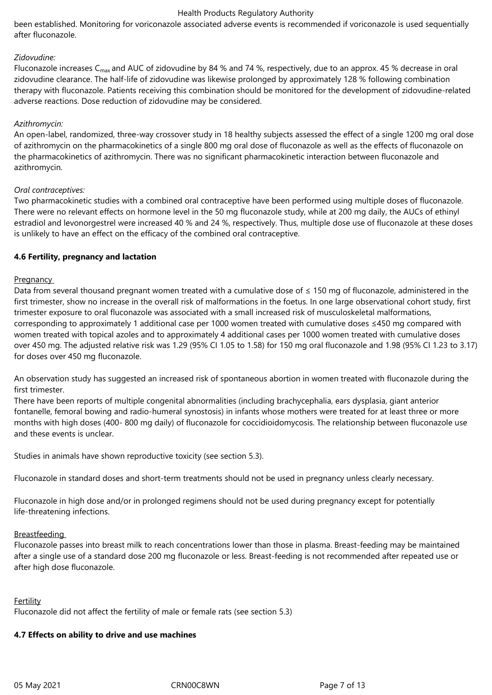been established. Monitoring for voriconazole associated adverse events is recommended if voriconazole is used sequentially after fluconazole.

### *Zidovudine:*

Fluconazole increases C<sub>max</sub> and AUC of zidovudine by 84 % and 74 %, respectively, due to an approx. 45 % decrease in oral zidovudine clearance. The half-life of zidovudine was likewise prolonged by approximately 128 % following combination therapy with fluconazole. Patients receiving this combination should be monitored for the development of zidovudine-related adverse reactions. Dose reduction of zidovudine may be considered.

### *Azithromycin:*

An open-label, randomized, three-way crossover study in 18 healthy subjects assessed the effect of a single 1200 mg oral dose of azithromycin on the pharmacokinetics of a single 800 mg oral dose of fluconazole as well as the effects of fluconazole on the pharmacokinetics of azithromycin. There was no significant pharmacokinetic interaction between fluconazole and azithromycin.

# *Oral contraceptives:*

Two pharmacokinetic studies with a combined oral contraceptive have been performed using multiple doses of fluconazole. There were no relevant effects on hormone level in the 50 mg fluconazole study, while at 200 mg daily, the AUCs of ethinyl estradiol and levonorgestrel were increased 40 % and 24 %, respectively. Thus, multiple dose use of fluconazole at these doses is unlikely to have an effect on the efficacy of the combined oral contraceptive.

# **4.6 Fertility, pregnancy and lactation**

# **Pregnancy**

Data from several thousand pregnant women treated with a cumulative dose of ≤ 150 mg of fluconazole, administered in the first trimester, show no increase in the overall risk of malformations in the foetus. In one large observational cohort study, first trimester exposure to oral fluconazole was associated with a small increased risk of musculoskeletal malformations, corresponding to approximately 1 additional case per 1000 women treated with cumulative doses ≤450 mg compared with women treated with topical azoles and to approximately 4 additional cases per 1000 women treated with cumulative doses over 450 mg. The adjusted relative risk was 1.29 (95% CI 1.05 to 1.58) for 150 mg oral fluconazole and 1.98 (95% CI 1.23 to 3.17) for doses over 450 mg fluconazole.

An observation study has suggested an increased risk of spontaneous abortion in women treated with fluconazole during the first trimester.

There have been reports of multiple congenital abnormalities (including brachycephalia, ears dysplasia, giant anterior fontanelle, femoral bowing and radio-humeral synostosis) in infants whose mothers were treated for at least three or more months with high doses (400- 800 mg daily) of fluconazole for coccidioidomycosis. The relationship between fluconazole use and these events is unclear.

Studies in animals have shown reproductive toxicity (see section 5.3).

Fluconazole in standard doses and short-term treatments should not be used in pregnancy unless clearly necessary.

Fluconazole in high dose and/or in prolonged regimens should not be used during pregnancy except for potentially life-threatening infections.

#### Breastfeeding

Fluconazole passes into breast milk to reach concentrations lower than those in plasma. Breast-feeding may be maintained after a single use of a standard dose 200 mg fluconazole or less. Breast-feeding is not recommended after repeated use or after high dose fluconazole.

#### Fertility

Fluconazole did not affect the fertility of male or female rats (see section 5.3)

# **4.7 Effects on ability to drive and use machines**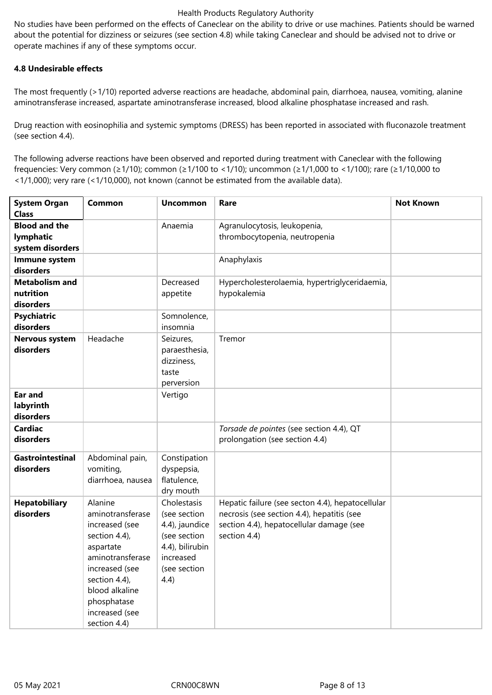No studies have been performed on the effects of Caneclear on the ability to drive or use machines. Patients should be warned about the potential for dizziness or seizures (see section 4.8) while taking Caneclear and should be advised not to drive or operate machines if any of these symptoms occur.

### **4.8 Undesirable effects**

The most frequently (>1/10) reported adverse reactions are headache, abdominal pain, diarrhoea, nausea, vomiting, alanine aminotransferase increased, aspartate aminotransferase increased, blood alkaline phosphatase increased and rash.

Drug reaction with eosinophilia and systemic symptoms (DRESS) has been reported in associated with fluconazole treatment (see section 4.4).

The following adverse reactions have been observed and reported during treatment with Caneclear with the following frequencies: Very common (≥1/10); common (≥1/100 to <1/10); uncommon (≥1/1,000 to <1/100); rare (≥1/10,000 to <1/1,000); very rare (<1/10,000), not known (cannot be estimated from the available data).

| <b>System Organ</b><br><b>Class</b>                   | <b>Common</b>                                                                                                                                                                                         | <b>Uncommon</b>                                                                                                        | Rare                                                                                                                                                       | <b>Not Known</b> |
|-------------------------------------------------------|-------------------------------------------------------------------------------------------------------------------------------------------------------------------------------------------------------|------------------------------------------------------------------------------------------------------------------------|------------------------------------------------------------------------------------------------------------------------------------------------------------|------------------|
| <b>Blood and the</b><br>lymphatic<br>system disorders |                                                                                                                                                                                                       | Anaemia                                                                                                                | Agranulocytosis, leukopenia,<br>thrombocytopenia, neutropenia                                                                                              |                  |
| Immune system<br>disorders                            |                                                                                                                                                                                                       |                                                                                                                        | Anaphylaxis                                                                                                                                                |                  |
| <b>Metabolism and</b><br>nutrition<br>disorders       |                                                                                                                                                                                                       | Decreased<br>appetite                                                                                                  | Hypercholesterolaemia, hypertriglyceridaemia,<br>hypokalemia                                                                                               |                  |
| <b>Psychiatric</b><br>disorders                       |                                                                                                                                                                                                       | Somnolence,<br>insomnia                                                                                                |                                                                                                                                                            |                  |
| <b>Nervous system</b><br>disorders                    | Headache                                                                                                                                                                                              | Seizures,<br>paraesthesia,<br>dizziness,<br>taste<br>perversion                                                        | Tremor                                                                                                                                                     |                  |
| Ear and<br>labyrinth<br>disorders                     |                                                                                                                                                                                                       | Vertigo                                                                                                                |                                                                                                                                                            |                  |
| Cardiac<br>disorders                                  |                                                                                                                                                                                                       |                                                                                                                        | Torsade de pointes (see section 4.4), QT<br>prolongation (see section 4.4)                                                                                 |                  |
| <b>Gastrointestinal</b><br>disorders                  | Abdominal pain,<br>vomiting,<br>diarrhoea, nausea                                                                                                                                                     | Constipation<br>dyspepsia,<br>flatulence,<br>dry mouth                                                                 |                                                                                                                                                            |                  |
| <b>Hepatobiliary</b><br>disorders                     | Alanine<br>aminotransferase<br>increased (see<br>section 4.4),<br>aspartate<br>aminotransferase<br>increased (see<br>section 4.4),<br>blood alkaline<br>phosphatase<br>increased (see<br>section 4.4) | Cholestasis<br>(see section<br>4.4), jaundice<br>(see section<br>4.4), bilirubin<br>increased<br>(see section<br>(4.4) | Hepatic failure (see secton 4.4), hepatocellular<br>necrosis (see section 4.4), hepatitis (see<br>section 4.4), hepatocellular damage (see<br>section 4.4) |                  |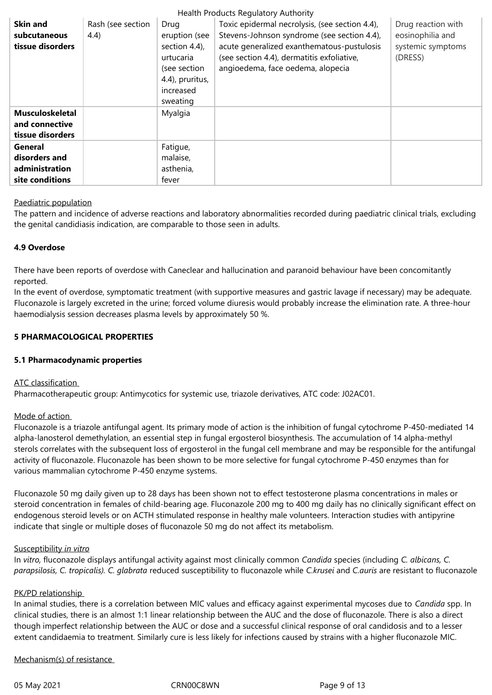| Health Products Regulatory Authority |                   |                  |                                                |                    |  |  |  |
|--------------------------------------|-------------------|------------------|------------------------------------------------|--------------------|--|--|--|
| <b>Skin and</b>                      | Rash (see section | Drug             | Toxic epidermal necrolysis, (see section 4.4), | Drug reaction with |  |  |  |
| subcutaneous                         | (4.4)             | eruption (see    | Stevens-Johnson syndrome (see section 4.4),    | eosinophilia and   |  |  |  |
| tissue disorders                     |                   | section $4.4$ ), | acute generalized exanthematous-pustulosis     | systemic symptoms  |  |  |  |
|                                      |                   | urtucaria        | (see section 4.4), dermatitis exfoliative,     | (DRESS)            |  |  |  |
|                                      |                   | (see section     | angioedema, face oedema, alopecia              |                    |  |  |  |
|                                      |                   | 4.4), pruritus,  |                                                |                    |  |  |  |
|                                      |                   | increased        |                                                |                    |  |  |  |
|                                      |                   | sweating         |                                                |                    |  |  |  |
| <b>Musculoskeletal</b>               |                   | Myalgia          |                                                |                    |  |  |  |
| and connective                       |                   |                  |                                                |                    |  |  |  |
| tissue disorders                     |                   |                  |                                                |                    |  |  |  |
| General                              |                   | Fatigue,         |                                                |                    |  |  |  |
| disorders and                        |                   | malaise,         |                                                |                    |  |  |  |
| administration                       |                   | asthenia,        |                                                |                    |  |  |  |
| site conditions                      |                   | fever            |                                                |                    |  |  |  |

#### Paediatric population

The pattern and incidence of adverse reactions and laboratory abnormalities recorded during paediatric clinical trials, excluding the genital candidiasis indication, are comparable to those seen in adults.

#### **4.9 Overdose**

There have been reports of overdose with Caneclear and hallucination and paranoid behaviour have been concomitantly reported.

In the event of overdose, symptomatic treatment (with supportive measures and gastric lavage if necessary) may be adequate. Fluconazole is largely excreted in the urine; forced volume diuresis would probably increase the elimination rate. A three-hour haemodialysis session decreases plasma levels by approximately 50 %.

# **5 PHARMACOLOGICAL PROPERTIES**

#### **5.1 Pharmacodynamic properties**

#### ATC classification

Pharmacotherapeutic group: Antimycotics for systemic use, triazole derivatives, ATC code: J02AC01.

#### Mode of action

Fluconazole is a triazole antifungal agent. Its primary mode of action is the inhibition of fungal cytochrome P-450-mediated 14 alpha-lanosterol demethylation, an essential step in fungal ergosterol biosynthesis. The accumulation of 14 alpha-methyl sterols correlates with the subsequent loss of ergosterol in the fungal cell membrane and may be responsible for the antifungal activity of fluconazole. Fluconazole has been shown to be more selective for fungal cytochrome P-450 enzymes than for various mammalian cytochrome P-450 enzyme systems.

Fluconazole 50 mg daily given up to 28 days has been shown not to effect testosterone plasma concentrations in males or steroid concentration in females of child-bearing age. Fluconazole 200 mg to 400 mg daily has no clinically significant effect on endogenous steroid levels or on ACTH stimulated response in healthy male volunteers. Interaction studies with antipyrine indicate that single or multiple doses of fluconazole 50 mg do not affect its metabolism.

#### Susceptibility *in vitro*

In *vitro,* fluconazole displays antifungal activity against most clinically common *Candida* species (including *C. albicans, C. parapsilosis, C. tropicalis). C. glabrata* reduced susceptibility to fluconazole while *C.krusei* and *C.auris* are resistant to fluconazole

#### PK/PD relationship

In animal studies, there is a correlation between MIC values and efficacy against experimental mycoses due to *Candida* spp. In clinical studies, there is an almost 1:1 linear relationship between the AUC and the dose of fluconazole. There is also a direct though imperfect relationship between the AUC or dose and a successful clinical response of oral candidosis and to a lesser extent candidaemia to treatment. Similarly cure is less likely for infections caused by strains with a higher fluconazole MIC.

Mechanism(s) of resistance

05 May 2021 **CRN00C8WN** CRN00C8WN Page 9 of 13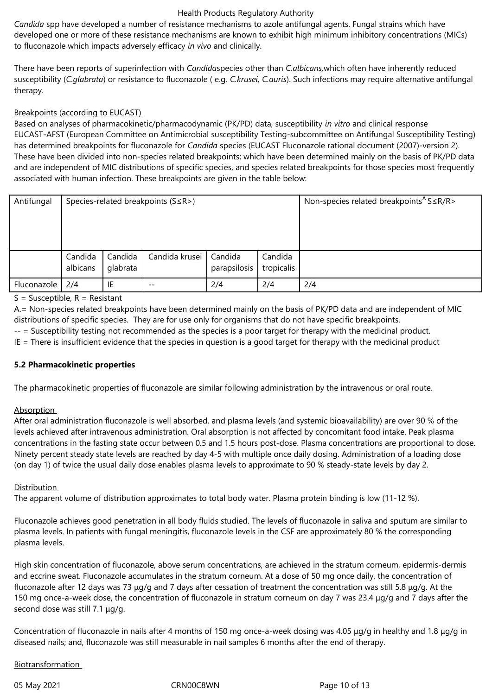*Candida* spp have developed a number of resistance mechanisms to azole antifungal agents. Fungal strains which have developed one or more of these resistance mechanisms are known to exhibit high minimum inhibitory concentrations (MICs) to fluconazole which impacts adversely efficacy *in vivo* and clinically.

There have been reports of superinfection with *Candida*species other than *C.albicans,*which often have inherently reduced susceptibility (*C.glabrata*) or resistance to fluconazole ( e.g. *C.krusei, C.auris*). Such infections may require alternative antifungal therapy.

# Breakpoints (according to EUCAST)

Based on analyses of pharmacokinetic/pharmacodynamic (PK/PD) data, susceptibility *in vitro* and clinical response EUCAST-AFST (European Committee on Antimicrobial susceptibility Testing-subcommittee on Antifungal Susceptibility Testing) has determined breakpoints for fluconazole for *Candida* species (EUCAST Fluconazole rational document (2007)-version 2). These have been divided into non-species related breakpoints; which have been determined mainly on the basis of PK/PD data and are independent of MIC distributions of specific species, and species related breakpoints for those species most frequently associated with human infection. These breakpoints are given in the table below:

| Antifungal  | Species-related breakpoints (S≤R>) |                     |                |                         |                       | Non-species related breakpoints <sup>A</sup> S $\leq$ R/R $>$ |
|-------------|------------------------------------|---------------------|----------------|-------------------------|-----------------------|---------------------------------------------------------------|
|             |                                    |                     |                |                         |                       |                                                               |
|             |                                    |                     |                |                         |                       |                                                               |
|             |                                    |                     |                |                         |                       |                                                               |
|             | Candida<br>albicans                | Candida<br>glabrata | Candida krusei | Candida<br>parapsilosis | Candida<br>tropicalis |                                                               |
| Fluconazole | 2/4                                | IE                  | $- -$          | 2/4                     | 2/4                   | 2/4                                                           |

 $S =$  Susceptible,  $R =$  Resistant

A.= Non-species related breakpoints have been determined mainly on the basis of PK/PD data and are independent of MIC distributions of specific species. They are for use only for organisms that do not have specific breakpoints.

-- = Susceptibility testing not recommended as the species is a poor target for therapy with the medicinal product.

IE = There is insufficient evidence that the species in question is a good target for therapy with the medicinal product

#### **5.2 Pharmacokinetic properties**

The pharmacokinetic properties of fluconazole are similar following administration by the intravenous or oral route.

#### Absorption

After oral administration fluconazole is well absorbed, and plasma levels (and systemic bioavailability) are over 90 % of the levels achieved after intravenous administration. Oral absorption is not affected by concomitant food intake. Peak plasma concentrations in the fasting state occur between 0.5 and 1.5 hours post-dose. Plasma concentrations are proportional to dose. Ninety percent steady state levels are reached by day 4‑5 with multiple once daily dosing. Administration of a loading dose (on day 1) of twice the usual daily dose enables plasma levels to approximate to 90 % steady-state levels by day 2.

#### Distribution

The apparent volume of distribution approximates to total body water. Plasma protein binding is low (11-12 %).

Fluconazole achieves good penetration in all body fluids studied. The levels of fluconazole in saliva and sputum are similar to plasma levels. In patients with fungal meningitis, fluconazole levels in the CSF are approximately 80 % the corresponding plasma levels.

High skin concentration of fluconazole, above serum concentrations, are achieved in the stratum corneum, epidermis-dermis and eccrine sweat. Fluconazole accumulates in the stratum corneum. At a dose of 50 mg once daily, the concentration of fluconazole after 12 days was 73 μg/g and 7 days after cessation of treatment the concentration was still 5.8 μg/g. At the 150 mg once-a-week dose, the concentration of fluconazole in stratum corneum on day 7 was 23.4 μg/g and 7 days after the second dose was still 7.1 μg/g.

Concentration of fluconazole in nails after 4 months of 150 mg once-a-week dosing was 4.05 μg/g in healthy and 1.8 μg/g in diseased nails; and, fluconazole was still measurable in nail samples 6 months after the end of therapy.

# Biotransformation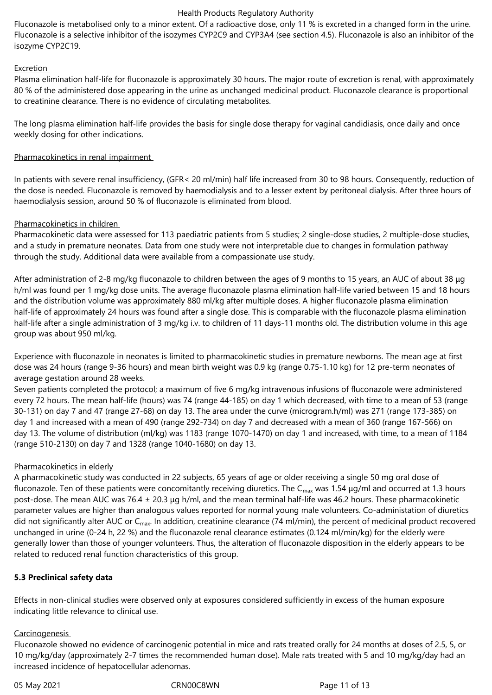Fluconazole is metabolised only to a minor extent. Of a radioactive dose, only 11 % is excreted in a changed form in the urine. Fluconazole is a selective inhibitor of the isozymes CYP2C9 and CYP3A4 (see section 4.5). Fluconazole is also an inhibitor of the isozyme CYP2C19.

# Excretion

Plasma elimination half-life for fluconazole is approximately 30 hours. The major route of excretion is renal, with approximately 80 % of the administered dose appearing in the urine as unchanged medicinal product. Fluconazole clearance is proportional to creatinine clearance. There is no evidence of circulating metabolites.

The long plasma elimination half-life provides the basis for single dose therapy for vaginal candidiasis, once daily and once weekly dosing for other indications.

# Pharmacokinetics in renal impairment

In patients with severe renal insufficiency, (GFR< 20 ml/min) half life increased from 30 to 98 hours. Consequently, reduction of the dose is needed. Fluconazole is removed by haemodialysis and to a lesser extent by peritoneal dialysis. After three hours of haemodialysis session, around 50 % of fluconazole is eliminated from blood.

# Pharmacokinetics in children

Pharmacokinetic data were assessed for 113 paediatric patients from 5 studies; 2 single-dose studies, 2 multiple-dose studies, and a study in premature neonates. Data from one study were not interpretable due to changes in formulation pathway through the study. Additional data were available from a compassionate use study.

After administration of 2-8 mg/kg fluconazole to children between the ages of 9 months to 15 years, an AUC of about 38 μg h/ml was found per 1 mg/kg dose units. The average fluconazole plasma elimination half-life varied between 15 and 18 hours and the distribution volume was approximately 880 ml/kg after multiple doses. A higher fluconazole plasma elimination half-life of approximately 24 hours was found after a single dose. This is comparable with the fluconazole plasma elimination half-life after a single administration of 3 mg/kg i.v. to children of 11 days-11 months old. The distribution volume in this age group was about 950 ml/kg.

Experience with fluconazole in neonates is limited to pharmacokinetic studies in premature newborns. The mean age at first dose was 24 hours (range 9‑36 hours) and mean birth weight was 0.9 kg (range 0.75‑1.10 kg) for 12 pre-term neonates of average gestation around 28 weeks.

Seven patients completed the protocol; a maximum of five 6 mg/kg intravenous infusions of fluconazole were administered every 72 hours. The mean half-life (hours) was 74 (range 44-185) on day 1 which decreased, with time to a mean of 53 (range 30‑131) on day 7 and 47 (range 27‑68) on day 13. The area under the curve (microgram.h/ml) was 271 (range 173‑385) on day 1 and increased with a mean of 490 (range 292-734) on day 7 and decreased with a mean of 360 (range 167-566) on day 13. The volume of distribution (ml/kg) was 1183 (range 1070-1470) on day 1 and increased, with time, to a mean of 1184 (range 510‑2130) on day 7 and 1328 (range 1040‑1680) on day 13.

# Pharmacokinetics in elderly

A pharmacokinetic study was conducted in 22 subjects, 65 years of age or older receiving a single 50 mg oral dose of fluconazole. Ten of these patients were concomitantly receiving diuretics. The  $C_{\text{max}}$  was 1.54  $\mu$ g/ml and occurred at 1.3 hours post-dose. The mean AUC was 76.4  $\pm$  20.3 µg h/ml, and the mean terminal half-life was 46.2 hours. These pharmacokinetic parameter values are higher than analogous values reported for normal young male volunteers. Co-administation of diuretics did not significantly alter AUC or  $C_{\text{max}}$ . In addition, creatinine clearance (74 ml/min), the percent of medicinal product recovered unchanged in urine (0-24 h, 22 %) and the fluconazole renal clearance estimates (0.124 ml/min/kg) for the elderly were generally lower than those of younger volunteers. Thus, the alteration of fluconazole disposition in the elderly appears to be related to reduced renal function characteristics of this group.

# **5.3 Preclinical safety data**

Effects in non-clinical studies were observed only at exposures considered sufficiently in excess of the human exposure indicating little relevance to clinical use.

#### Carcinogenesis

Fluconazole showed no evidence of carcinogenic potential in mice and rats treated orally for 24 months at doses of 2.5, 5, or 10 mg/kg/day (approximately 2‑7 times the recommended human dose). Male rats treated with 5 and 10 mg/kg/day had an increased incidence of hepatocellular adenomas.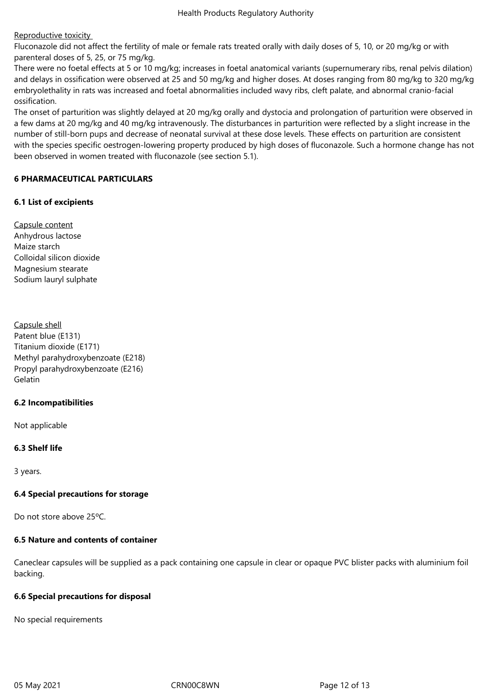# Reproductive toxicity

Fluconazole did not affect the fertility of male or female rats treated orally with daily doses of 5, 10, or 20 mg/kg or with parenteral doses of 5, 25, or 75 mg/kg.

There were no foetal effects at 5 or 10 mg/kg; increases in foetal anatomical variants (supernumerary ribs, renal pelvis dilation) and delays in ossification were observed at 25 and 50 mg/kg and higher doses. At doses ranging from 80 mg/kg to 320 mg/kg embryolethality in rats was increased and foetal abnormalities included wavy ribs, cleft palate, and abnormal cranio-facial ossification.

The onset of parturition was slightly delayed at 20 mg/kg orally and dystocia and prolongation of parturition were observed in a few dams at 20 mg/kg and 40 mg/kg intravenously. The disturbances in parturition were reflected by a slight increase in the number of still-born pups and decrease of neonatal survival at these dose levels. These effects on parturition are consistent with the species specific oestrogen-lowering property produced by high doses of fluconazole. Such a hormone change has not been observed in women treated with fluconazole (see section 5.1).

# **6 PHARMACEUTICAL PARTICULARS**

# **6.1 List of excipients**

Capsule content Anhydrous lactose Maize starch Colloidal silicon dioxide Magnesium stearate Sodium lauryl sulphate

Capsule shell Patent blue (E131) Titanium dioxide (E171) Methyl parahydroxybenzoate (E218) Propyl parahydroxybenzoate (E216) Gelatin

#### **6.2 Incompatibilities**

Not applicable

# **6.3 Shelf life**

3 years.

#### **6.4 Special precautions for storage**

Do not store above 25ºC.

# **6.5 Nature and contents of container**

Caneclear capsules will be supplied as a pack containing one capsule in clear or opaque PVC blister packs with aluminium foil backing.

#### **6.6 Special precautions for disposal**

No special requirements